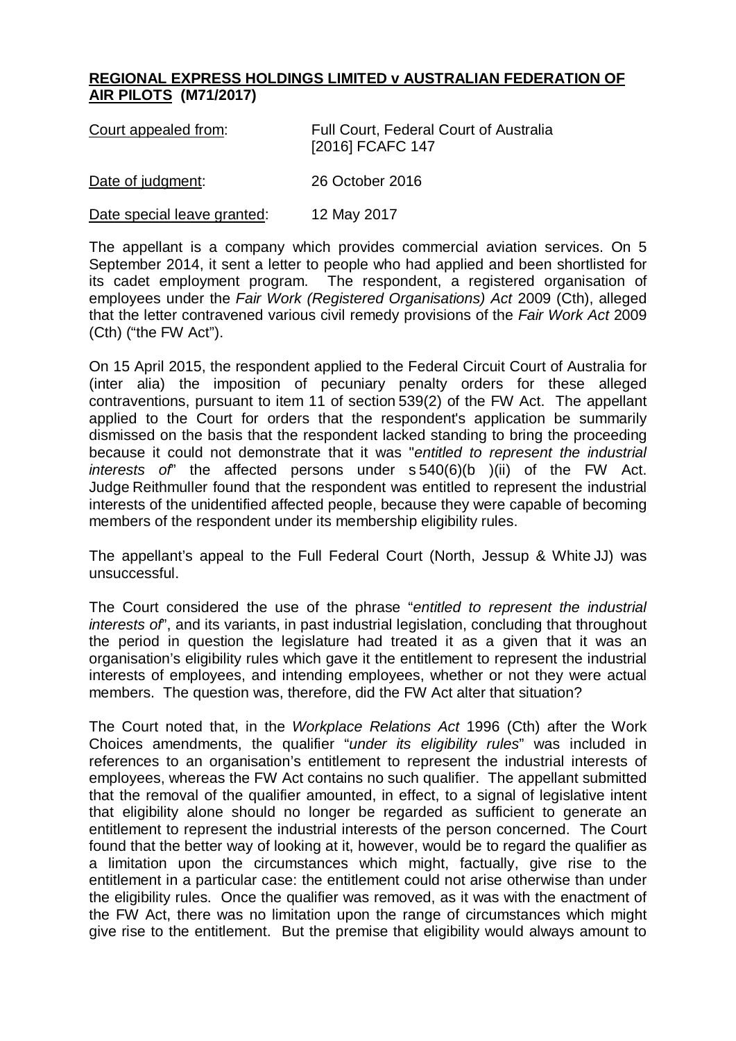## **REGIONAL EXPRESS HOLDINGS LIMITED v AUSTRALIAN FEDERATION OF AIR PILOTS (M71/2017)**

| Court appealed from:        | <b>Full Court, Federal Court of Australia</b><br>[2016] FCAFC 147 |
|-----------------------------|-------------------------------------------------------------------|
| Date of judgment:           | 26 October 2016                                                   |
| Date special leave granted: | 12 May 2017                                                       |

The appellant is a company which provides commercial aviation services. On 5 September 2014, it sent a letter to people who had applied and been shortlisted for its cadet employment program. The respondent, a registered organisation of employees under the *Fair Work (Registered Organisations) Act* 2009 (Cth), alleged that the letter contravened various civil remedy provisions of the *Fair Work Act* 2009 (Cth) ("the FW Act").

On 15 April 2015, the respondent applied to the Federal Circuit Court of Australia for (inter alia) the imposition of pecuniary penalty orders for these alleged contraventions, pursuant to item 11 of section 539(2) of the FW Act. The appellant applied to the Court for orders that the respondent's application be summarily dismissed on the basis that the respondent lacked standing to bring the proceeding because it could not demonstrate that it was "*entitled to represent the industrial interests of*" the affected persons under s 540(6)(b )(ii) of the FW Act. Judge Reithmuller found that the respondent was entitled to represent the industrial interests of the unidentified affected people, because they were capable of becoming members of the respondent under its membership eligibility rules.

The appellant's appeal to the Full Federal Court (North, Jessup & White JJ) was unsuccessful.

The Court considered the use of the phrase "*entitled to represent the industrial interests of*", and its variants, in past industrial legislation, concluding that throughout the period in question the legislature had treated it as a given that it was an organisation's eligibility rules which gave it the entitlement to represent the industrial interests of employees, and intending employees, whether or not they were actual members. The question was, therefore, did the FW Act alter that situation?

The Court noted that, in the *Workplace Relations Act* 1996 (Cth) after the Work Choices amendments, the qualifier "*under its eligibility rules*" was included in references to an organisation's entitlement to represent the industrial interests of employees, whereas the FW Act contains no such qualifier. The appellant submitted that the removal of the qualifier amounted, in effect, to a signal of legislative intent that eligibility alone should no longer be regarded as sufficient to generate an entitlement to represent the industrial interests of the person concerned. The Court found that the better way of looking at it, however, would be to regard the qualifier as a limitation upon the circumstances which might, factually, give rise to the entitlement in a particular case: the entitlement could not arise otherwise than under the eligibility rules. Once the qualifier was removed, as it was with the enactment of the FW Act, there was no limitation upon the range of circumstances which might give rise to the entitlement. But the premise that eligibility would always amount to